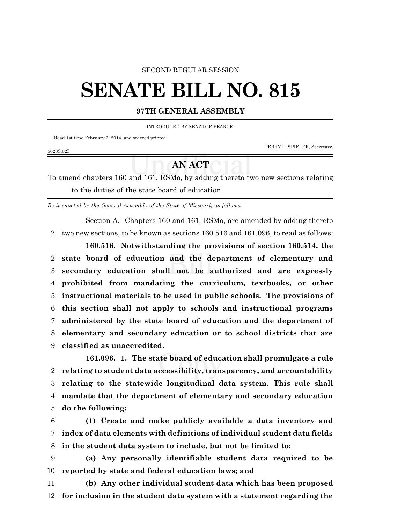#### SECOND REGULAR SESSION

# **SENATE BILL NO. 815**

### **97TH GENERAL ASSEMBLY**

INTRODUCED BY SENATOR PEARCE.

Read 1st time February 3, 2014, and ordered printed.

TERRY L. SPIELER, Secretary.

#### 5623S.02I

## **AN ACT**

To amend chapters 160 and 161, RSMo, by adding thereto two new sections relating to the duties of the state board of education.

*Be it enacted by the General Assembly of the State of Missouri, as follows:*

Section A. Chapters 160 and 161, RSMo, are amended by adding thereto 2 two new sections, to be known as sections 160.516 and 161.096, to read as follows:

**160.516. Notwithstanding the provisions of section 160.514, the state board of education and the department of elementary and secondary education shall not be authorized and are expressly prohibited from mandating the curriculum, textbooks, or other instructional materials to be used in public schools. The provisions of this section shall not apply to schools and instructional programs administered by the state board of education and the department of elementary and secondary education or to school districts that are classified as unaccredited.**

**161.096. 1. The state board of education shall promulgate a rule relating to student data accessibility, transparency, and accountability relating to the statewide longitudinal data system. This rule shall mandate that the department of elementary and secondary education do the following:**

6 **(1) Create and make publicly available a data inventory and** 7 **index of data elements with definitions of individual student data fields** 8 **in the student data system to include, but not be limited to:**

9 **(a) Any personally identifiable student data required to be** 10 **reported by state and federal education laws; and**

11 **(b) Any other individual student data which has been proposed** 12 **for inclusion in the student data system with a statement regarding the**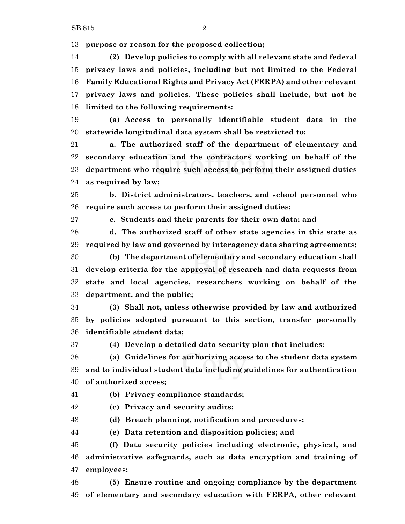**purpose or reason for the proposed collection;**

 **(2) Develop policies to comply with all relevant state and federal privacy laws and policies, including but not limited to the Federal Family Educational Rights and Privacy Act (FERPA) and other relevant privacy laws and policies. These policies shall include, but not be limited to the following requirements:**

 **(a) Access to personally identifiable student data in the statewide longitudinal data system shall be restricted to:**

 **a. The authorized staff of the department of elementary and secondary education and the contractors working on behalf of the department who require such access to perform their assigned duties as required by law;**

 **b. District administrators, teachers, and school personnel who require such access to perform their assigned duties;**

**c. Students and their parents for their own data; and**

 **d. The authorized staff of other state agencies in this state as required by law and governed by interagency data sharing agreements;**

 **(b) The department of elementary and secondary education shall develop criteria for the approval of research and data requests from state and local agencies, researchers working on behalf of the department, and the public;**

 **(3) Shall not, unless otherwise provided by law and authorized by policies adopted pursuant to this section, transfer personally identifiable student data;**

**(4) Develop a detailed data security plan that includes:**

 **(a) Guidelines for authorizing access to the student data system and to individual student data including guidelines for authentication of authorized access;**

**(b) Privacy compliance standards;**

**(c) Privacy and security audits;**

**(d) Breach planning, notification and procedures;**

**(e) Data retention and disposition policies; and**

 **(f) Data security policies including electronic, physical, and administrative safeguards, such as data encryption and training of employees;**

 **(5) Ensure routine and ongoing compliance by the department of elementary and secondary education with FERPA, other relevant**